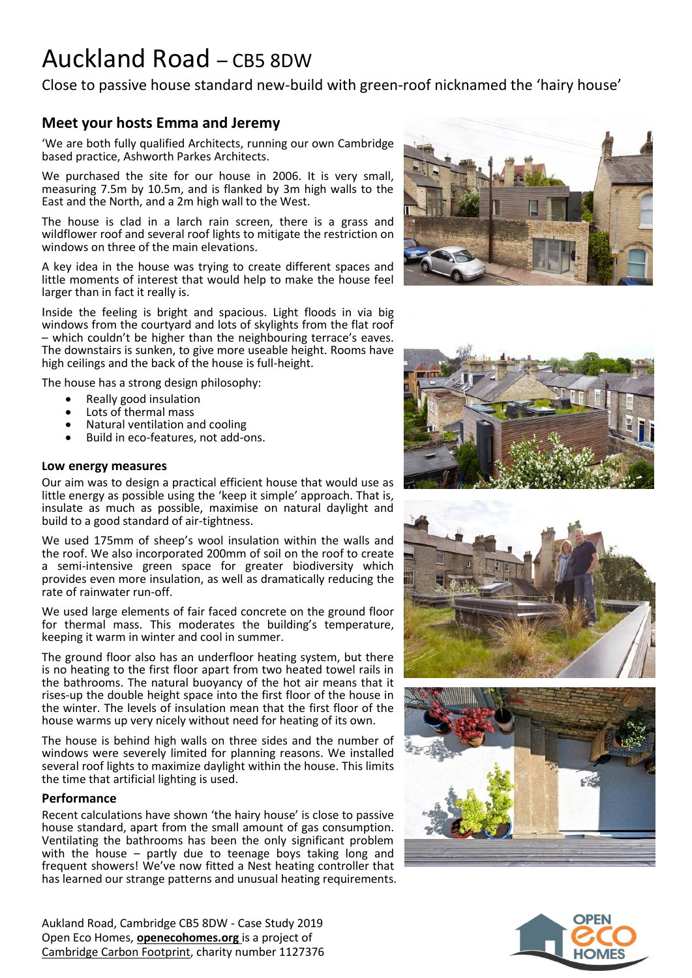# Auckland Road – CB5 8DW

Close to passive house standard new-build with green-roof nicknamed the 'hairy house'

# **Meet your hosts Emma and Jeremy**

'We are both fully qualified Architects, running our own Cambridge based practice, Ashworth Parkes Architects.

We purchased the site for our house in 2006. It is very small, measuring 7.5m by 10.5m, and is flanked by 3m high walls to the East and the North, and a 2m high wall to the West.

The house is clad in a larch rain screen, there is a grass and wildflower roof and several roof lights to mitigate the restriction on windows on three of the main elevations.

A key idea in the house was trying to create different spaces and little moments of interest that would help to make the house feel larger than in fact it really is.

Inside the feeling is bright and spacious. Light floods in via big windows from the courtyard and lots of skylights from the flat roof – which couldn't be higher than the neighbouring terrace's eaves. The downstairs is sunken, to give more useable height. Rooms have high ceilings and the back of the house is full-height.

The house has a strong design philosophy:

- Really good insulation
- Lots of thermal mass
- Natural ventilation and cooling
- Build in eco-features, not add-ons.

#### **Low energy measures**

Our aim was to design a practical efficient house that would use as little energy as possible using the 'keep it simple' approach. That is, insulate as much as possible, maximise on natural daylight and build to a good standard of air-tightness.

We used 175mm of sheep's wool insulation within the walls and the roof. We also incorporated 200mm of soil on the roof to create a semi-intensive green space for greater biodiversity which provides even more insulation, as well as dramatically reducing the rate of rainwater run-off.

We used large elements of fair faced concrete on the ground floor for thermal mass. This moderates the building's temperature, keeping it warm in winter and cool in summer.

The ground floor also has an underfloor heating system, but there is no heating to the first floor apart from two heated towel rails in the bathrooms. The natural buoyancy of the hot air means that it rises-up the double height space into the first floor of the house in the winter. The levels of insulation mean that the first floor of the house warms up very nicely without need for heating of its own.

The house is behind high walls on three sides and the number of windows were severely limited for planning reasons. We installed several roof lights to maximize daylight within the house. This limits the time that artificial lighting is used.

#### **Performance**

Recent calculations have shown 'the hairy house' is close to passive house standard, apart from the small amount of gas consumption. Ventilating the bathrooms has been the only significant problem with the house – partly due to teenage boys taking long and frequent showers! We've now fitted a Nest heating controller that has learned our strange patterns and unusual heating requirements.

Aukland Road, Cambridge CB5 8DW - Case Study 2019 Open Eco Homes, **[openecohomes.org](http://www.openecohomes.org/)** is a project of [Cambridge Carbon Footprint,](http://cambridgecarbonfootprint.org/) charity number 1127376









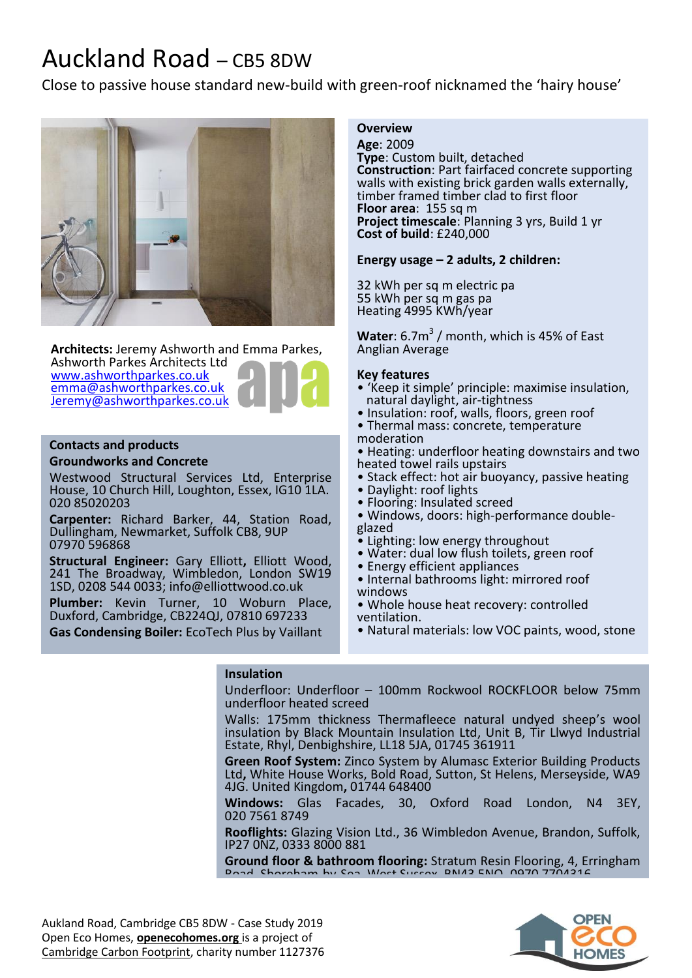# Auckland Road – CB5 8DW

Close to passive house standard new-build with green-roof nicknamed the 'hairy house'



**Architects:** Jeremy Ashworth and Emma Parkes,

Ashworth Parkes Architects Ltd [www.ashworthparkes.co.uk](http://www.ashworthparkes.co.uk/) [emma@ashworthparkes.co.uk](mailto:emma@ashworthparkes.co.uk) [Jeremy@ashworthparkes.co.uk](mailto:Jeremy@ashworthparkes.co.uk)



### **Contacts and products**

#### **Groundworks and Concrete**

Westwood Structural Services Ltd, Enterprise House, 10 Church Hill, Loughton, Essex, IG10 1LA. 020 85020203

**Carpenter:** Richard Barker, 44, Station Road, Dullingham, Newmarket, Suffolk CB8, 9UP 07970 596868

**Structural Engineer:** Gary Elliott**,** Elliott Wood, 241 The Broadway, Wimbledon, London SW19 1SD, 0208 544 0033; in[fo@elliottwood.co.uk](mailto:info@elliottwood.co.uk)

**Plumber:** Kevin Turner, 10 Woburn Place, Duxford, Cambridge, CB224QJ, 07810 697233

**Gas Condensing Boiler:** EcoTech Plus by Vaillant

## **Insulation**

## **Overview**

**Age**: 2009 **Type**: Custom built, detached **Construction**: Part fairfaced concrete supporting walls with existing brick garden walls externally, timber framed timber clad to first floor **Floor area**: 155 sq m **Project timescale**: Planning 3 yrs, Build 1 yr **Cost of build**: £240,000

### **Energy usage – 2 adults, 2 children:**

32 kWh per sq m electric pa 55 kWh per sq m gas pa Heating 4995 KWh/year

**Water**:  $6.7m<sup>3</sup>$  / month, which is 45% of East Anglian Average

### **Key features**

- 'Keep it simple' principle: maximise insulation, natural daylight, air-tightness
- Insulation: roof, walls, floors, green roof
- Thermal mass: concrete, temperature moderation
- Heating: underfloor heating downstairs and two heated towel rails upstairs
- Stack effect: hot air buoyancy, passive heating
- Daylight: roof lights
- Flooring: Insulated screed
- Windows, doors: high-performance doubleglazed
- Lighting: low energy throughout
- Water: dual low flush toilets, green roof
- Energy efficient appliances
- Internal bathrooms light: mirrored roof windows
	- Whole house heat recovery: controlled ventilation.
	- Natural materials: low VOC paints, wood, stone

Underfloor: Underfloor – 100mm Rockwool ROCKFLOOR below 75mm underfloor heated screed

Walls: 175mm thickness Thermafleece natural undyed sheep's wool insulation by Black Mountain Insulation Ltd, Unit B, Tir Llwyd Industrial Estate, Rhyl, Denbighshire, LL18 5JA, 01745 361911

**Green Roof System:** Zinco System by Alumasc Exterior Building Products Ltd**,** White House Works, Bold Road, Sutton, St Helens, Merseyside, WA9 4JG. United Kingdom**,** 01744 648400

**Windows:** Glas Facades, 30, Oxford Road London, N4 3EY, 020 7561 8749

**Rooflights:** Glazing Vision Ltd., 36 Wimbledon Avenue, Brandon, Suffolk, IP27 0NZ, 0333 8000 881

**Ground floor & bathroom flooring:** Stratum Resin Flooring, 4, Erringham Road, Shoreham-by-Sea, West Sussex, BN43 5NQ**,** 0970 7704316